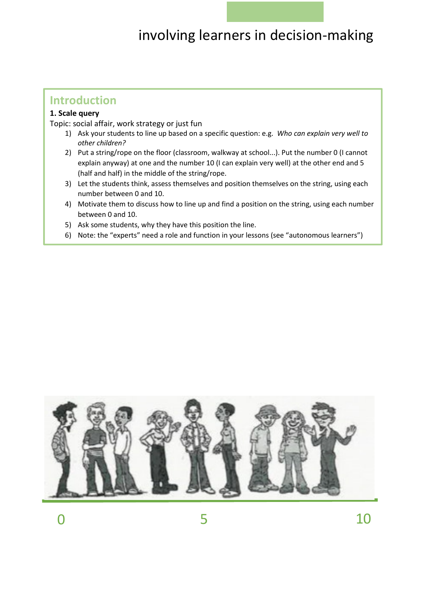### **Introduction**

#### **1. Scale query**

Topic: social affair, work strategy or just fun

- 1) Ask your students to line up based on a specific question: e.g. *Who can explain very well to other children?*
- 2) Put a string/rope on the floor (classroom, walkway at school...). Put the number 0 (I cannot explain anyway) at one and the number 10 (I can explain very well) at the other end and 5 (half and half) in the middle of the string/rope.
- 3) Let the students think, assess themselves and position themselves on the string, using each number between 0 and 10.
- 4) Motivate them to discuss how to line up and find a position on the string, using each number between 0 and 10.
- 5) Ask some students, why they have this position the line.
- 6) Note: the "experts" need a role and function in your lessons (see "autonomous learners")

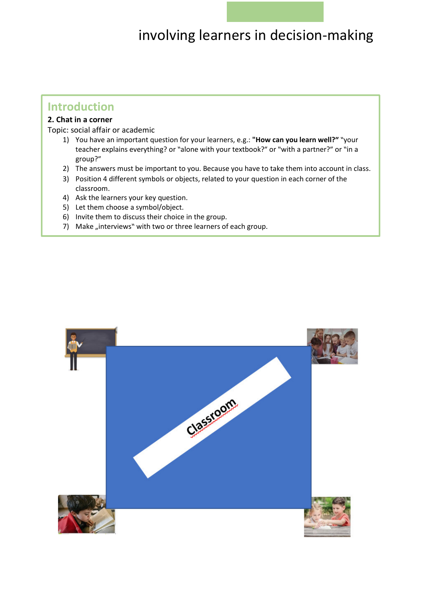### **Introduction**

### **2. Chat in a corner**

 $\overline{a}$ 

Topic: social affair or academic

- 1) You have an important question for your learners, e.g.: **"How can you learn well?"** "your teacher explains everything? or "alone with your textbook?" or "with a partner?" or "in a group?"
- 2) The answers must be important to you. Because you have to take them into account in class.
- 3) Position 4 different symbols or objects, related to your question in each corner of the classroom.
- 4) Ask the learners your key question.
- 5) Let them choose a symbol/object.
- 6) Invite them to discuss their choice in the group.
- 7) Make "interviews" with two or three learners of each group.

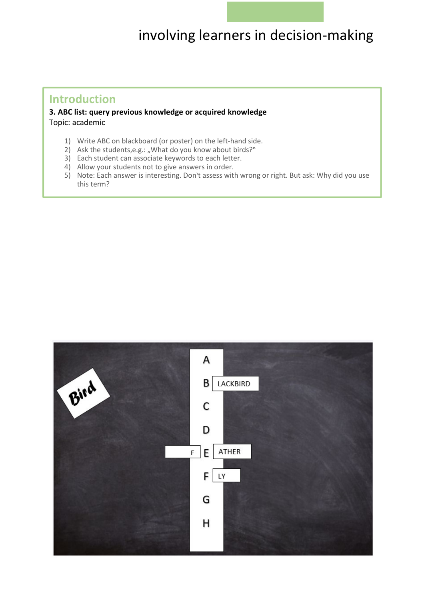#### Ĩ **Introduction**

**3. ABC list: query previous knowledge or acquired knowledge**  Topic: academic

- 1) Write ABC on blackboard (or poster) on the left-hand side.
- 2) Ask the students, e.g.: "What do you know about birds?"
- 3) Each student can associate keywords to each letter.
- 4) Allow your students not to give answers in order.
- 5) Note: Each answer is interesting. Don't assess with wrong or right. But ask: Why did you use this term?